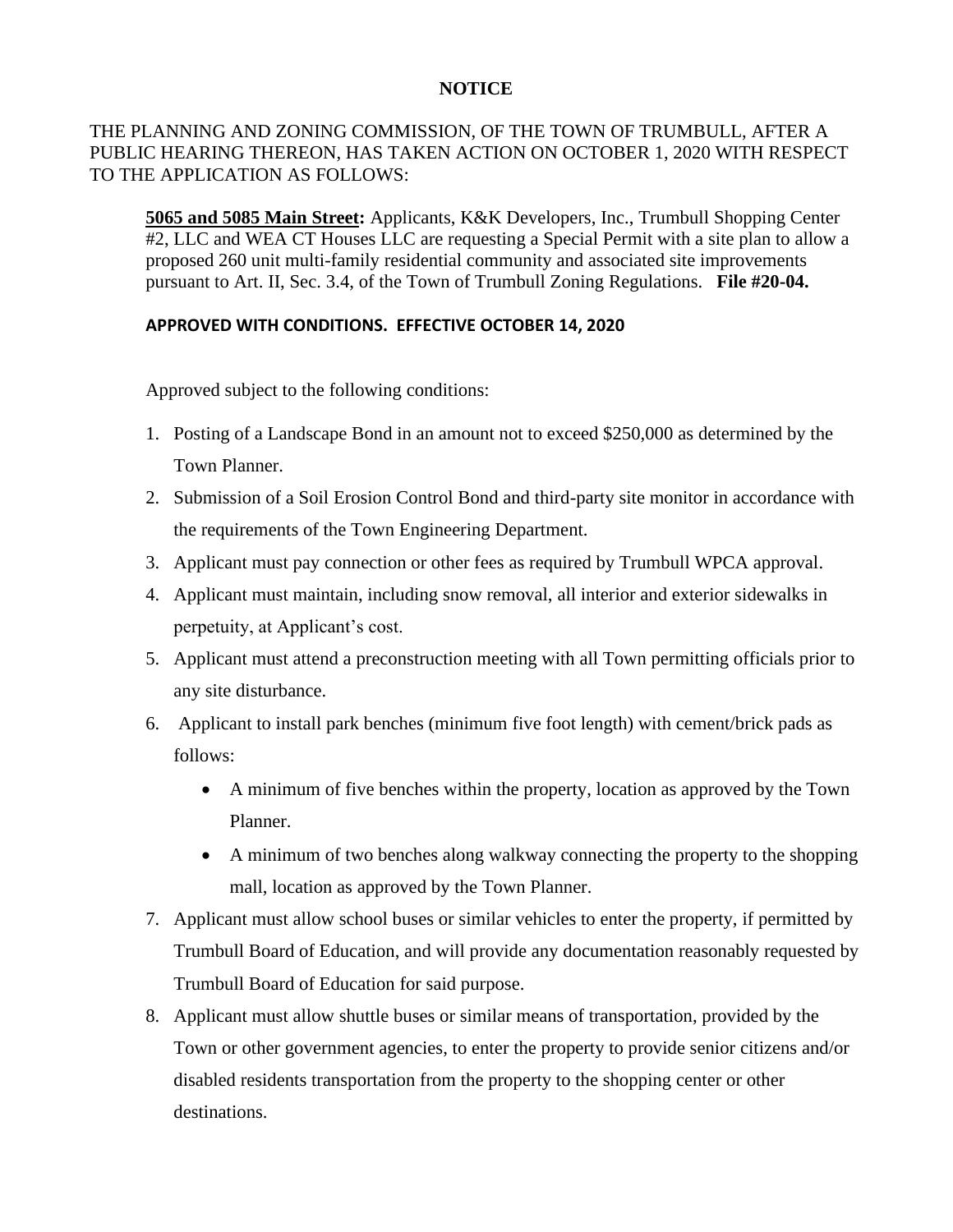## **NOTICE**

## THE PLANNING AND ZONING COMMISSION, OF THE TOWN OF TRUMBULL, AFTER A PUBLIC HEARING THEREON, HAS TAKEN ACTION ON OCTOBER 1, 2020 WITH RESPECT TO THE APPLICATION AS FOLLOWS:

**5065 and 5085 Main Street:** Applicants, K&K Developers, Inc., Trumbull Shopping Center #2, LLC and WEA CT Houses LLC are requesting a Special Permit with a site plan to allow a proposed 260 unit multi-family residential community and associated site improvements pursuant to Art. II, Sec. 3.4, of the Town of Trumbull Zoning Regulations. **File #20-04.**

## **APPROVED WITH CONDITIONS. EFFECTIVE OCTOBER 14, 2020**

Approved subject to the following conditions:

- 1. Posting of a Landscape Bond in an amount not to exceed \$250,000 as determined by the Town Planner.
- 2. Submission of a Soil Erosion Control Bond and third-party site monitor in accordance with the requirements of the Town Engineering Department.
- 3. Applicant must pay connection or other fees as required by Trumbull WPCA approval.
- 4. Applicant must maintain, including snow removal, all interior and exterior sidewalks in perpetuity, at Applicant's cost.
- 5. Applicant must attend a preconstruction meeting with all Town permitting officials prior to any site disturbance.
- 6. Applicant to install park benches (minimum five foot length) with cement/brick pads as follows:
	- A minimum of five benches within the property, location as approved by the Town Planner.
	- A minimum of two benches along walkway connecting the property to the shopping mall, location as approved by the Town Planner.
- 7. Applicant must allow school buses or similar vehicles to enter the property, if permitted by Trumbull Board of Education, and will provide any documentation reasonably requested by Trumbull Board of Education for said purpose.
- 8. Applicant must allow shuttle buses or similar means of transportation, provided by the Town or other government agencies, to enter the property to provide senior citizens and/or disabled residents transportation from the property to the shopping center or other destinations.